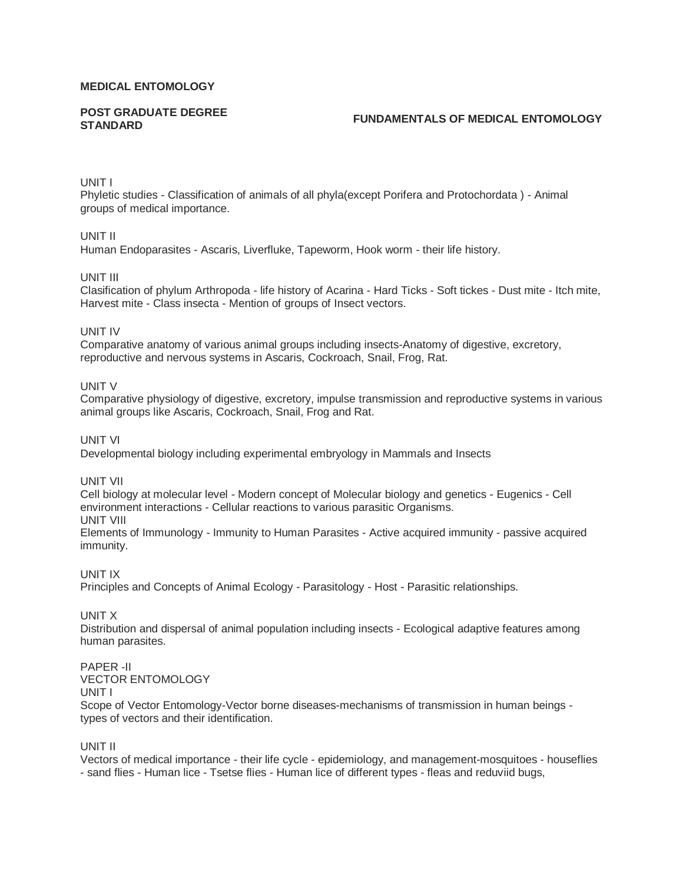#### **MEDICAL ENTOMOLOGY**

# **POST GRADUATE DEGREE**

# **STANDARD FUNDAMENTALS OF MEDICAL ENTOMOLOGY**

UNIT I

Phyletic studies - Classification of animals of all phyla(except Porifera and Protochordata ) - Animal groups of medical importance.

UNIT II

Human Endoparasites - Ascaris, Liverfluke, Tapeworm, Hook worm - their life history.

UNIT III

Clasification of phylum Arthropoda - life history of Acarina - Hard Ticks - Soft tickes - Dust mite - Itch mite, Harvest mite - Class insecta - Mention of groups of Insect vectors.

#### UNIT IV

Comparative anatomy of various animal groups including insects-Anatomy of digestive, excretory, reproductive and nervous systems in Ascaris, Cockroach, Snail, Frog, Rat.

UNIT V

Comparative physiology of digestive, excretory, impulse transmission and reproductive systems in various animal groups like Ascaris, Cockroach, Snail, Frog and Rat.

UNIT VI

Developmental biology including experimental embryology in Mammals and Insects

UNIT VII

Cell biology at molecular level - Modern concept of Molecular biology and genetics - Eugenics - Cell environment interactions - Cellular reactions to various parasitic Organisms. UNIT VIII

Elements of Immunology - Immunity to Human Parasites - Active acquired immunity - passive acquired immunity.

UNIT IX

Principles and Concepts of Animal Ecology - Parasitology - Host - Parasitic relationships.

UNIT X

Distribution and dispersal of animal population including insects - Ecological adaptive features among human parasites.

# PAPER -II

VECTOR ENTOMOLOGY

UNIT I

Scope of Vector Entomology-Vector borne diseases-mechanisms of transmission in human beings types of vectors and their identification.

UNIT II

Vectors of medical importance - their life cycle - epidemiology, and management-mosquitoes - houseflies - sand flies - Human lice - Tsetse flies - Human lice of different types - fleas and reduviid bugs,